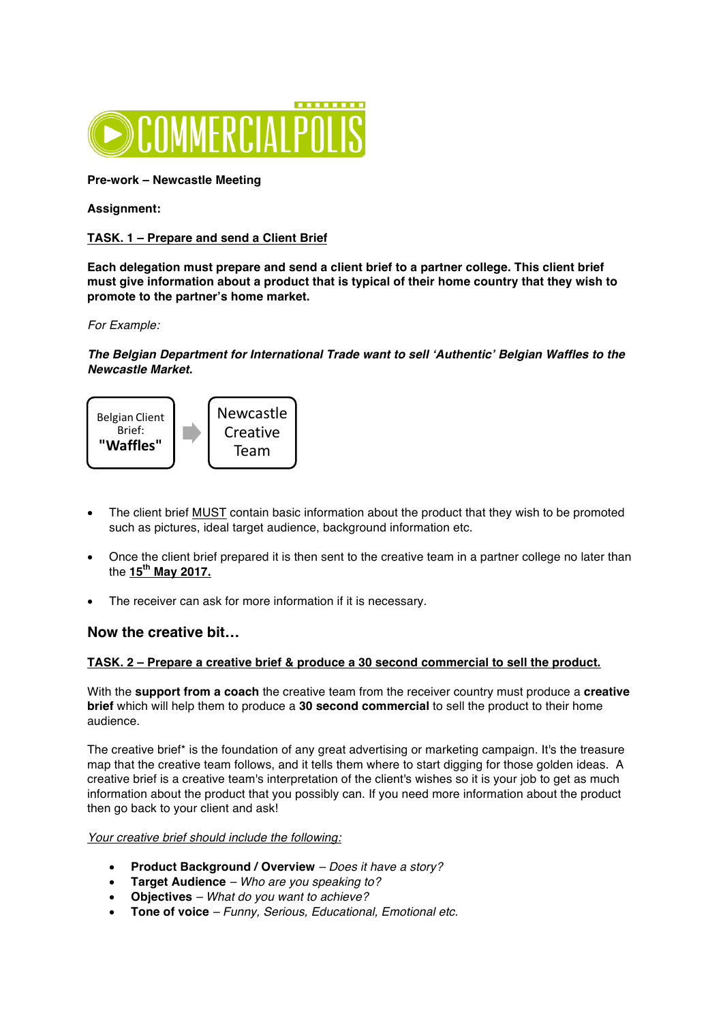

**Pre-work – Newcastle Meeting**

## **Assignment:**

# **TASK. 1 – Prepare and send a Client Brief**

**Each delegation must prepare and send a client brief to a partner college. This client brief must give information about a product that is typical of their home country that they wish to promote to the partner's home market.**

*For Example:*

*The Belgian Department for International Trade want to sell 'Authentic' Belgian Waffles to the Newcastle Market.*



- The client brief MUST contain basic information about the product that they wish to be promoted such as pictures, ideal target audience, background information etc.
- Once the client brief prepared it is then sent to the creative team in a partner college no later than the **15th May 2017.**
- The receiver can ask for more information if it is necessary.

# **Now the creative bit…**

#### **TASK. 2 – Prepare a creative brief & produce a 30 second commercial to sell the product.**

With the **support from a coach** the creative team from the receiver country must produce a **creative brief** which will help them to produce a **30 second commercial** to sell the product to their home audience.

The creative brief\* is the foundation of any great advertising or marketing campaign. It's the treasure map that the creative team follows, and it tells them where to start digging for those golden ideas. A creative brief is a creative team's interpretation of the client's wishes so it is your job to get as much information about the product that you possibly can. If you need more information about the product then go back to your client and ask!

*Your creative brief should include the following:*

- **Product Background / Overview** *– Does it have a story?*
- **Target Audience** *– Who are you speaking to?*
- **Objectives** *– What do you want to achieve?*
- **Tone of voice** *– Funny, Serious, Educational, Emotional etc.*